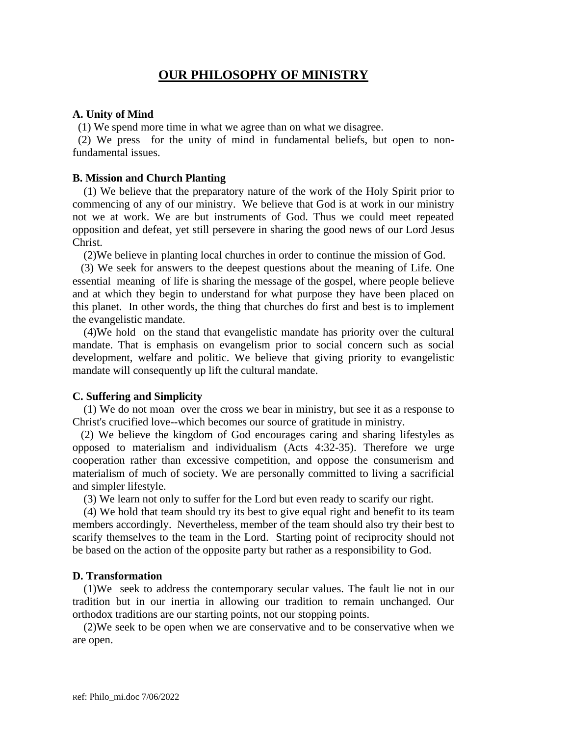# **OUR PHILOSOPHY OF MINISTRY**

# **A. Unity of Mind**

(1) We spend more time in what we agree than on what we disagree.

 (2) We press for the unity of mind in fundamental beliefs, but open to nonfundamental issues.

# **B. Mission and Church Planting**

 (1) We believe that the preparatory nature of the work of the Holy Spirit prior to commencing of any of our ministry. We believe that God is at work in our ministry not we at work. We are but instruments of God. Thus we could meet repeated opposition and defeat, yet still persevere in sharing the good news of our Lord Jesus Christ.

(2)We believe in planting local churches in order to continue the mission of God.

 (3) We seek for answers to the deepest questions about the meaning of Life. One essential meaning of life is sharing the message of the gospel, where people believe and at which they begin to understand for what purpose they have been placed on this planet. In other words, the thing that churches do first and best is to implement the evangelistic mandate.

 (4)We hold on the stand that evangelistic mandate has priority over the cultural mandate. That is emphasis on evangelism prior to social concern such as social development, welfare and politic. We believe that giving priority to evangelistic mandate will consequently up lift the cultural mandate.

## **C. Suffering and Simplicity**

 (1) We do not moan over the cross we bear in ministry, but see it as a response to Christ's crucified love--which becomes our source of gratitude in ministry.

 (2) We believe the kingdom of God encourages caring and sharing lifestyles as opposed to materialism and individualism (Acts 4:32-35). Therefore we urge cooperation rather than excessive competition, and oppose the consumerism and materialism of much of society. We are personally committed to living a sacrificial and simpler lifestyle.

(3) We learn not only to suffer for the Lord but even ready to scarify our right.

 (4) We hold that team should try its best to give equal right and benefit to its team members accordingly. Nevertheless, member of the team should also try their best to scarify themselves to the team in the Lord. Starting point of reciprocity should not be based on the action of the opposite party but rather as a responsibility to God.

## **D. Transformation**

 (1)We seek to address the contemporary secular values. The fault lie not in our tradition but in our inertia in allowing our tradition to remain unchanged. Our orthodox traditions are our starting points, not our stopping points.

 (2)We seek to be open when we are conservative and to be conservative when we are open.